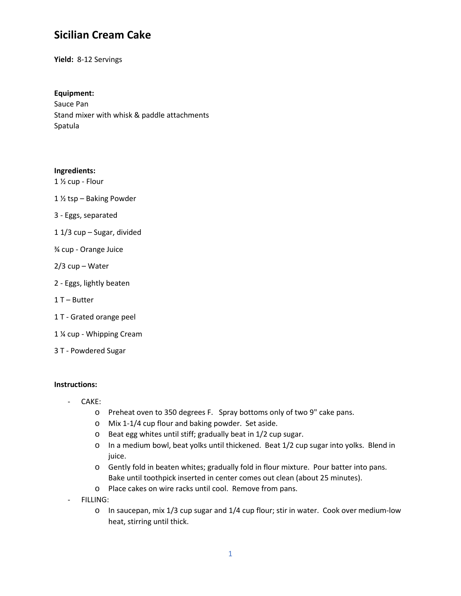# **Sicilian Cream Cake**

**Yield:** 8-12 Servings

## **Equipment:**

Sauce Pan Stand mixer with whisk & paddle attachments Spatula

### **Ingredients:**

1 ½ cup - Flour

- 1 ½ tsp Baking Powder
- 3 Eggs, separated
- 1 1/3 cup Sugar, divided
- ¾ cup Orange Juice
- 2/3 cup Water
- 2 Eggs, lightly beaten
- 1 T Butter
- 1 T Grated orange peel
- 1 ¼ cup Whipping Cream
- 3 T Powdered Sugar

#### **Instructions:**

- CAKE:
	- o Preheat oven to 350 degrees F. Spray bottoms only of two 9" cake pans.
	- o Mix 1-1/4 cup flour and baking powder. Set aside.
	- o Beat egg whites until stiff; gradually beat in 1/2 cup sugar.
	- o In a medium bowl, beat yolks until thickened. Beat 1/2 cup sugar into yolks. Blend in juice.
	- o Gently fold in beaten whites; gradually fold in flour mixture. Pour batter into pans. Bake until toothpick inserted in center comes out clean (about 25 minutes).
	- o Place cakes on wire racks until cool. Remove from pans.
- FILLING:
	- o In saucepan, mix 1/3 cup sugar and 1/4 cup flour; stir in water. Cook over medium-low heat, stirring until thick.